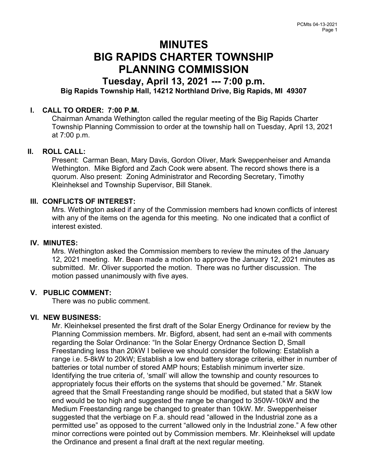# MINUTES BIG RAPIDS CHARTER TOWNSHIP PLANNING COMMISSION

# Tuesday, April 13, 2021 --- 7:00 p.m. Big Rapids Township Hall, 14212 Northland Drive, Big Rapids, MI 49307

# I. CALL TO ORDER: 7:00 P.M.

Chairman Amanda Wethington called the regular meeting of the Big Rapids Charter Township Planning Commission to order at the township hall on Tuesday, April 13, 2021 at 7:00 p.m.

# II. ROLL CALL:

Present: Carman Bean, Mary Davis, Gordon Oliver, Mark Sweppenheiser and Amanda Wethington. Mike Bigford and Zach Cook were absent. The record shows there is a quorum. Also present: Zoning Administrator and Recording Secretary, Timothy Kleinheksel and Township Supervisor, Bill Stanek.

#### III. CONFLICTS OF INTEREST:

Mrs. Wethington asked if any of the Commission members had known conflicts of interest with any of the items on the agenda for this meeting. No one indicated that a conflict of interest existed.

#### IV. MINUTES:

Mrs. Wethington asked the Commission members to review the minutes of the January 12, 2021 meeting. Mr. Bean made a motion to approve the January 12, 2021 minutes as submitted. Mr. Oliver supported the motion. There was no further discussion. The motion passed unanimously with five ayes.

# V. PUBLIC COMMENT:

There was no public comment.

# VI. NEW BUSINESS:

Mr. Kleinheksel presented the first draft of the Solar Energy Ordinance for review by the Planning Commission members. Mr. Bigford, absent, had sent an e-mail with comments regarding the Solar Ordinance: "In the Solar Energy Ordnance Section D, Small Freestanding less than 20kW I believe we should consider the following: Establish a range i.e. 5-8kW to 20kW; Establish a low end battery storage criteria, either in number of batteries or total number of stored AMP hours; Establish minimum inverter size. Identifying the true criteria of, 'small' will allow the township and county resources to appropriately focus their efforts on the systems that should be governed." Mr. Stanek agreed that the Small Freestanding range should be modified, but stated that a 5kW low end would be too high and suggested the range be changed to 350W-10kW and the Medium Freestanding range be changed to greater than 10kW. Mr. Sweppenheiser suggested that the verbiage on F.a. should read "allowed in the Industrial zone as a permitted use" as opposed to the current "allowed only in the Industrial zone." A few other minor corrections were pointed out by Commission members. Mr. Kleinheksel will update the Ordinance and present a final draft at the next regular meeting.